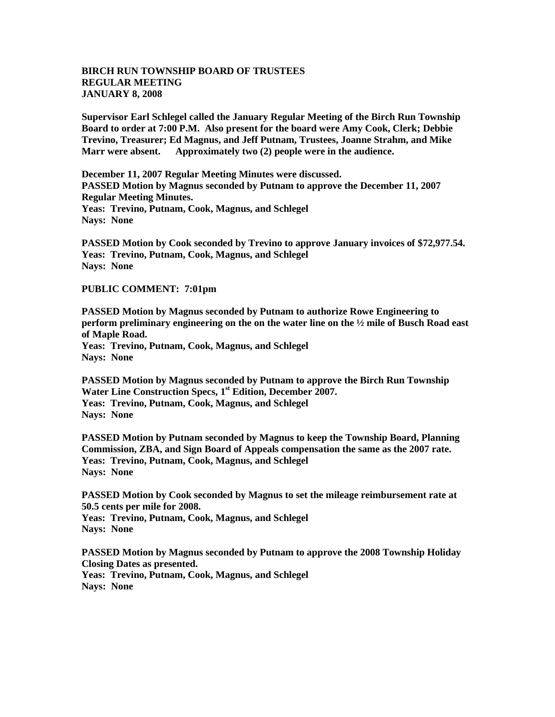## **BIRCH RUN TOWNSHIP BOARD OF TRUSTEES REGULAR MEETING JANUARY 8, 2008**

**Supervisor Earl Schlegel called the January Regular Meeting of the Birch Run Township Board to order at 7:00 P.M. Also present for the board were Amy Cook, Clerk; Debbie Trevino, Treasurer; Ed Magnus, and Jeff Putnam, Trustees, Joanne Strahm, and Mike Marr were absent. Approximately two (2) people were in the audience.** 

**December 11, 2007 Regular Meeting Minutes were discussed. PASSED Motion by Magnus seconded by Putnam to approve the December 11, 2007 Regular Meeting Minutes. Yeas: Trevino, Putnam, Cook, Magnus, and Schlegel Nays: None** 

**PASSED Motion by Cook seconded by Trevino to approve January invoices of \$72,977.54. Yeas: Trevino, Putnam, Cook, Magnus, and Schlegel Nays: None**

## **PUBLIC COMMENT: 7:01pm**

**PASSED Motion by Magnus seconded by Putnam to authorize Rowe Engineering to perform preliminary engineering on the on the water line on the ½ mile of Busch Road east of Maple Road. Yeas: Trevino, Putnam, Cook, Magnus, and Schlegel Nays: None**

**PASSED Motion by Magnus seconded by Putnam to approve the Birch Run Township Water Line Construction Specs, 1 st Edition, December 2007. Yeas: Trevino, Putnam, Cook, Magnus, and Schlegel Nays: None**

**PASSED Motion by Putnam seconded by Magnus to keep the Township Board, Planning Commission, ZBA, and Sign Board of Appeals compensation the same as the 2007 rate. Yeas: Trevino, Putnam, Cook, Magnus, and Schlegel Nays: None**

**PASSED Motion by Cook seconded by Magnus to set the mileage reimbursement rate at 50.5 cents per mile for 2008. Yeas: Trevino, Putnam, Cook, Magnus, and Schlegel Nays: None**

**PASSED Motion by Magnus seconded by Putnam to approve the 2008 Township Holiday Closing Dates as presented. Yeas: Trevino, Putnam, Cook, Magnus, and Schlegel Nays: None**